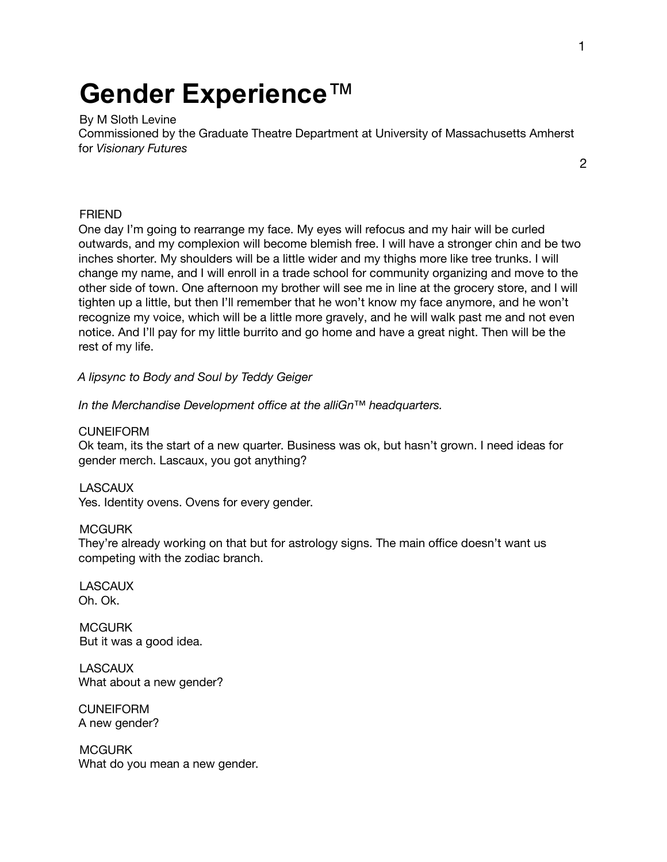# **Gender Experience**™

By M Sloth Levine

Commissioned by the Graduate Theatre Department at University of Massachusetts Amherst for *Visionary Futures*

2

## FRIEND

One day I'm going to rearrange my face. My eyes will refocus and my hair will be curled outwards, and my complexion will become blemish free. I will have a stronger chin and be two inches shorter. My shoulders will be a little wider and my thighs more like tree trunks. I will change my name, and I will enroll in a trade school for community organizing and move to the other side of town. One afternoon my brother will see me in line at the grocery store, and I will tighten up a little, but then I'll remember that he won't know my face anymore, and he won't recognize my voice, which will be a little more gravely, and he will walk past me and not even notice. And I'll pay for my little burrito and go home and have a great night. Then will be the rest of my life.

*A lipsync to Body and Soul by Teddy Geiger*

*In the Merchandise Development office at the alliGn™ headquarters.*

CUNEIFORM

Ok team, its the start of a new quarter. Business was ok, but hasn't grown. I need ideas for gender merch. Lascaux, you got anything?

**LASCAUX** 

Yes. Identity ovens. Ovens for every gender.

#### **MCGURK**

They're already working on that but for astrology signs. The main office doesn't want us competing with the zodiac branch.

**LASCAUX** Oh. Ok.

**MCGURK** But it was a good idea.

**LASCAUX** What about a new gender?

**CUNEIFORM** A new gender?

**MCGURK** What do you mean a new gender.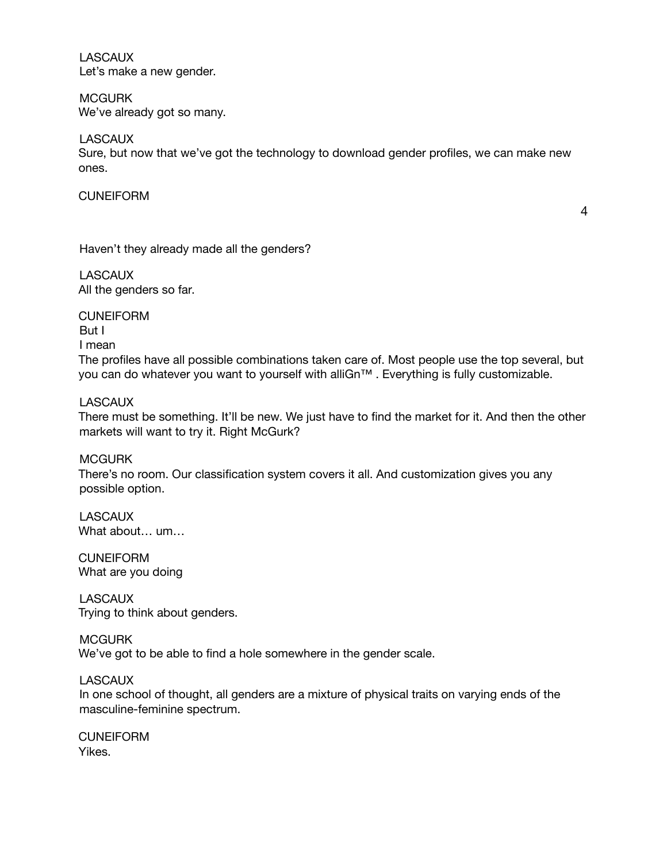**LASCAUX** Let's make a new gender.

**MCGURK** We've already got so many.

**LASCAUX** 

Sure, but now that we've got the technology to download gender profiles, we can make new ones.

## **CUNEIFORM**

4

Haven't they already made all the genders?

**LASCAUX** All the genders so far.

**CUNEIFORM** But I I mean The profiles have all possible combinations taken care of. Most people use the top several, but you can do whatever you want to yourself with alliGn™. Everything is fully customizable.

## **LASCAUX**

There must be something. It'll be new. We just have to find the market for it. And then the other markets will want to try it. Right McGurk?

MCGURK There's no room. Our classification system covers it all. And customization gives you any possible option.

**LASCAUX** What about… um…

**CUNEIFORM** What are you doing

**LASCAUX** Trying to think about genders.

**MCGURK** We've got to be able to find a hole somewhere in the gender scale.

## LASCAUX

In one school of thought, all genders are a mixture of physical traits on varying ends of the masculine-feminine spectrum.

**CUNEIFORM** Yikes.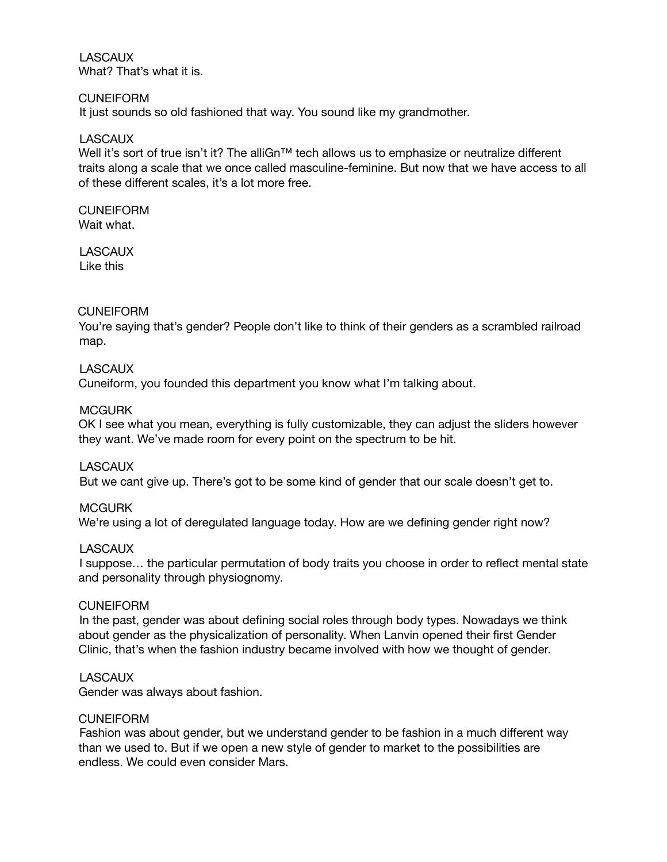**LASCAUX** What? That's what it is.

#### **CUNEIFORM**

It just sounds so old fashioned that way. You sound like my grandmother.

#### **LASCAUX**

Well it's sort of true isn't it? The alliGn™ tech allows us to emphasize or neutralize different traits along a scale that we once called masculine-feminine. But now that we have access to all of these different scales, it's a lot more free.

## **CUNEIFORM**

Wait what.

**LASCAUX** Like this

## **CUNEIFORM**

You're saying that's gender? People don't like to think of their genders as a scrambled railroad map.

#### **LASCAUX**

Cuneiform, you founded this department you know what I'm talking about.

#### **MCGURK**

OK I see what you mean, everything is fully customizable, they can adjust the sliders however they want. We've made room for every point on the spectrum to be hit.

## **LASCAUX**

But we cant give up. There's got to be some kind of gender that our scale doesn't get to.

#### **MCGURK**

We're using a lot of deregulated language today. How are we defining gender right now?

#### LASCAUX

I suppose… the particular permutation of body traits you choose in order to reflect mental state and personality through physiognomy.

#### **CUNEIFORM**

In the past, gender was about defining social roles through body types. Nowadays we think about gender as the physicalization of personality. When Lanvin opened their first Gender Clinic, that's when the fashion industry became involved with how we thought of gender.

## **LASCAUX**

Gender was always about fashion.

#### CUNEIFORM

Fashion was about gender, but we understand gender to be fashion in a much different way than we used to. But if we open a new style of gender to market to the possibilities are endless. We could even consider Mars.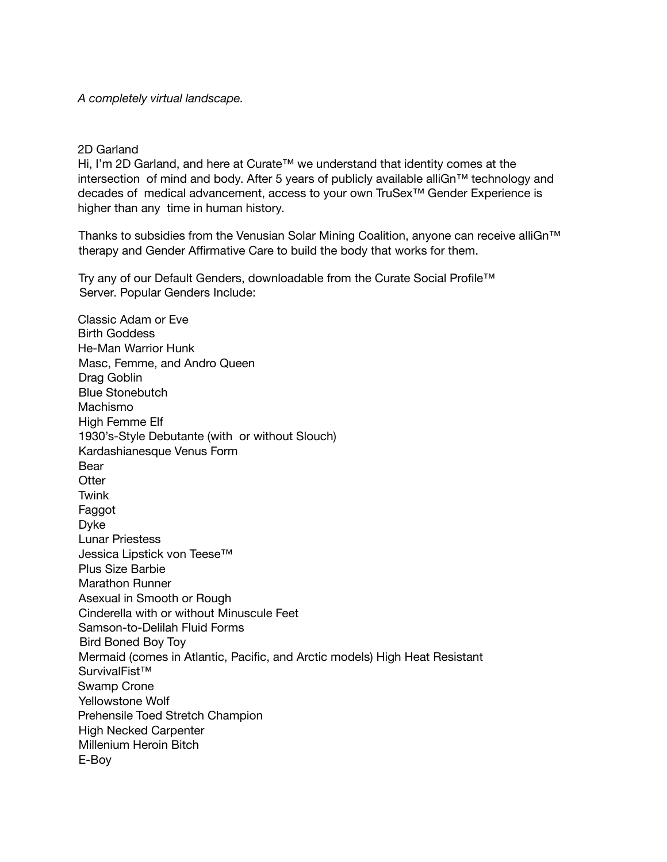*A completely virtual landscape.*

## 2D Garland

Hi, I'm 2D Garland, and here at Curate™ we understand that identity comes at the intersection of mind and body. After 5 years of publicly available alliGn™ technology and decades of medical advancement, access to your own TruSex™ Gender Experience is higher than any time in human history.

Thanks to subsidies from the Venusian Solar Mining Coalition, anyone can receive alliGn™ therapy and Gender Affirmative Care to build the body that works for them.

Try any of our Default Genders, downloadable from the Curate Social Profile™ Server. Popular Genders Include:

Classic Adam or Eve Birth Goddess He-Man Warrior Hunk Masc, Femme, and Andro Queen Drag Goblin Blue Stonebutch Machismo High Femme Elf 1930's-Style Debutante (with or without Slouch) Kardashianesque Venus Form Bear **Otter Twink** Faggot Dyke Lunar Priestess Jessica Lipstick von Teese™ Plus Size Barbie Marathon Runner Asexual in Smooth or Rough Cinderella with or without Minuscule Feet Samson-to-Delilah Fluid Forms Bird Boned Boy Toy Mermaid (comes in Atlantic, Pacific, and Arctic models) High Heat Resistant SurvivalFist™ Swamp Crone Yellowstone Wolf Prehensile Toed Stretch Champion High Necked Carpenter Millenium Heroin Bitch E-Boy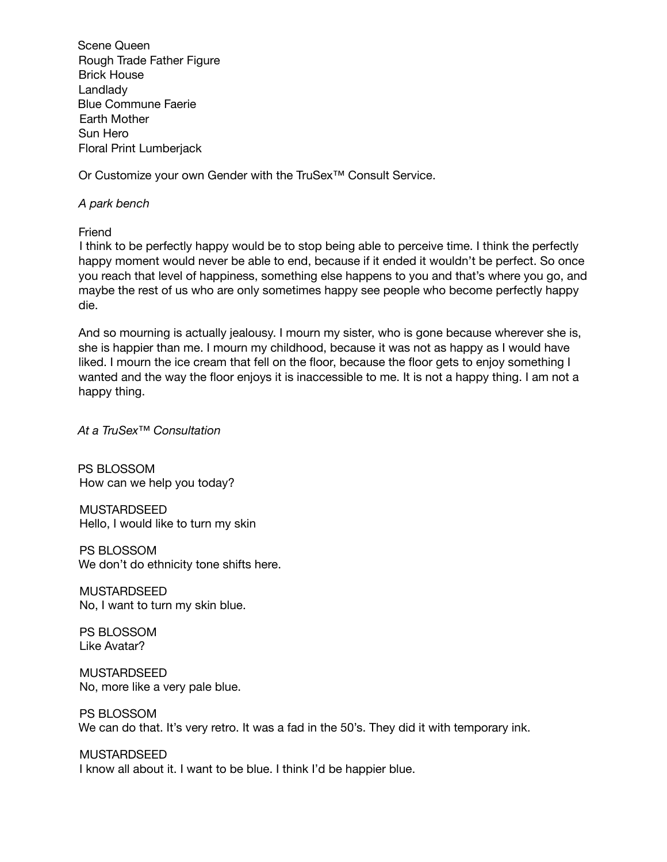Scene Queen Rough Trade Father Figure Brick House Landlady Blue Commune Faerie Earth Mother Sun Hero Floral Print Lumberjack

Or Customize your own Gender with the TruSex™ Consult Service.

## *A park bench*

Friend

I think to be perfectly happy would be to stop being able to perceive time. I think the perfectly happy moment would never be able to end, because if it ended it wouldn't be perfect. So once you reach that level of happiness, something else happens to you and that's where you go, and maybe the rest of us who are only sometimes happy see people who become perfectly happy die.

And so mourning is actually jealousy. I mourn my sister, who is gone because wherever she is, she is happier than me. I mourn my childhood, because it was not as happy as I would have liked. I mourn the ice cream that fell on the floor, because the floor gets to enjoy something I wanted and the way the floor enjoys it is inaccessible to me. It is not a happy thing. I am not a happy thing.

*At a TruSex™ Consultation*

PS BLOSSOM How can we help you today?

MUSTARDSEED Hello, I would like to turn my skin

PS BLOSSOM We don't do ethnicity tone shifts here.

MUSTARDSEED No, I want to turn my skin blue.

PS BLOSSOM Like Avatar?

MUSTARDSEED No, more like a very pale blue.

PS BLOSSOM We can do that. It's very retro. It was a fad in the 50's. They did it with temporary ink.

MUSTARDSEED

I know all about it. I want to be blue. I think I'd be happier blue.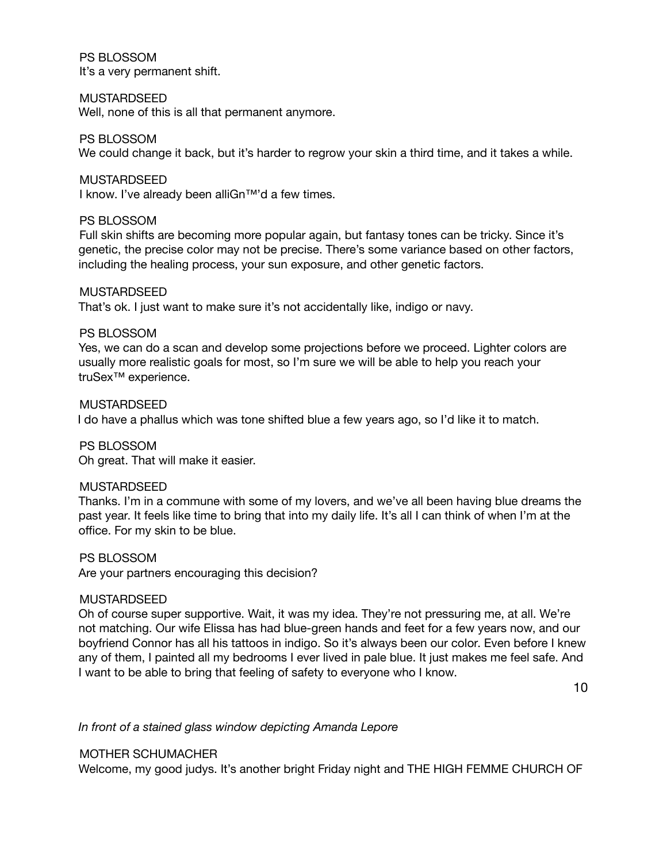PS BLOSSOM It's a very permanent shift.

#### MUSTARDSEED

Well, none of this is all that permanent anymore.

#### PS BLOSSOM

We could change it back, but it's harder to regrow your skin a third time, and it takes a while.

#### MUSTARDSEED

I know. I've already been alliGn™'d a few times.

#### PS BLOSSOM

Full skin shifts are becoming more popular again, but fantasy tones can be tricky. Since it's genetic, the precise color may not be precise. There's some variance based on other factors, including the healing process, your sun exposure, and other genetic factors.

#### MUSTARDSEED

That's ok. I just want to make sure it's not accidentally like, indigo or navy.

## PS BLOSSOM

Yes, we can do a scan and develop some projections before we proceed. Lighter colors are usually more realistic goals for most, so I'm sure we will be able to help you reach your truSex™ experience.

## MUSTARDSEED

I do have a phallus which was tone shifted blue a few years ago, so I'd like it to match.

## PS BLOSSOM

Oh great. That will make it easier.

## MUSTARDSEED

Thanks. I'm in a commune with some of my lovers, and we've all been having blue dreams the past year. It feels like time to bring that into my daily life. It's all I can think of when I'm at the office. For my skin to be blue.

#### PS BLOSSOM

Are your partners encouraging this decision?

#### MUSTARDSEED

Oh of course super supportive. Wait, it was my idea. They're not pressuring me, at all. We're not matching. Our wife Elissa has had blue-green hands and feet for a few years now, and our boyfriend Connor has all his tattoos in indigo. So it's always been our color. Even before I knew any of them, I painted all my bedrooms I ever lived in pale blue. It just makes me feel safe. And I want to be able to bring that feeling of safety to everyone who I know.

10

*In front of a stained glass window depicting Amanda Lepore*

## MOTHER SCHUMACHER

Welcome, my good judys. It's another bright Friday night and THE HIGH FEMME CHURCH OF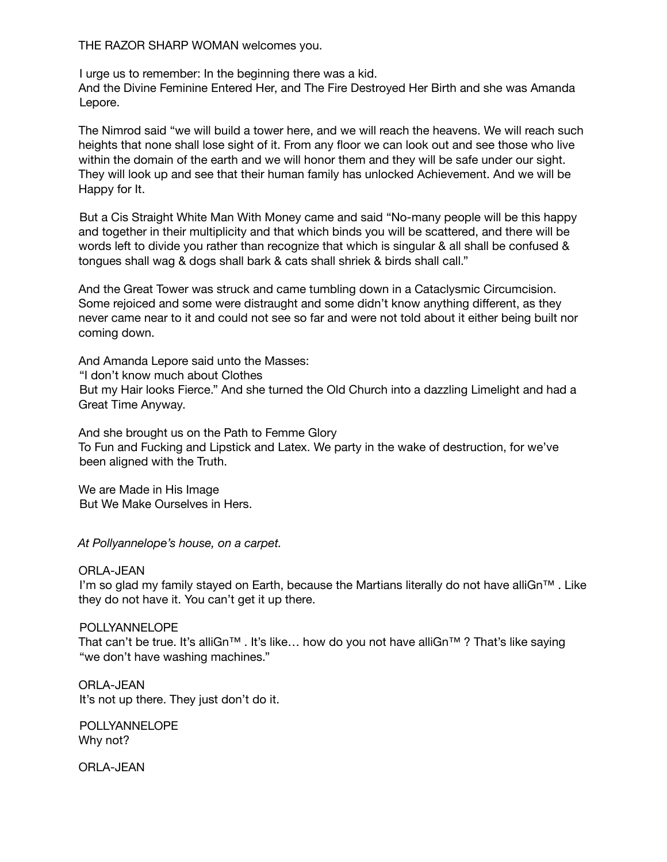THE RAZOR SHARP WOMAN welcomes you.

I urge us to remember: In the beginning there was a kid.

And the Divine Feminine Entered Her, and The Fire Destroyed Her Birth and she was Amanda Lepore.

The Nimrod said "we will build a tower here, and we will reach the heavens. We will reach such heights that none shall lose sight of it. From any floor we can look out and see those who live within the domain of the earth and we will honor them and they will be safe under our sight. They will look up and see that their human family has unlocked Achievement. And we will be Happy for It.

But a Cis Straight White Man With Money came and said "No-many people will be this happy and together in their multiplicity and that which binds you will be scattered, and there will be words left to divide you rather than recognize that which is singular & all shall be confused & tongues shall wag & dogs shall bark & cats shall shriek & birds shall call."

And the Great Tower was struck and came tumbling down in a Cataclysmic Circumcision. Some rejoiced and some were distraught and some didn't know anything different, as they never came near to it and could not see so far and were not told about it either being built nor coming down.

And Amanda Lepore said unto the Masses: "I don't know much about Clothes

But my Hair looks Fierce." And she turned the Old Church into a dazzling Limelight and had a Great Time Anyway.

And she brought us on the Path to Femme Glory To Fun and Fucking and Lipstick and Latex. We party in the wake of destruction, for we've been aligned with the Truth.

We are Made in His Image But We Make Ourselves in Hers.

*At Pollyannelope's house, on a carpet.*

ORLA-JEAN I'm so glad my family stayed on Earth, because the Martians literally do not have alliGn™ . Like they do not have it. You can't get it up there.

## POLLYANNELOPE

That can't be true. It's alliGn™ . It's like… how do you not have alliGn™ ? That's like saying "we don't have washing machines."

ORLA-JEAN It's not up there. They just don't do it.

POLLYANNELOPE Why not?

ORLA-JEAN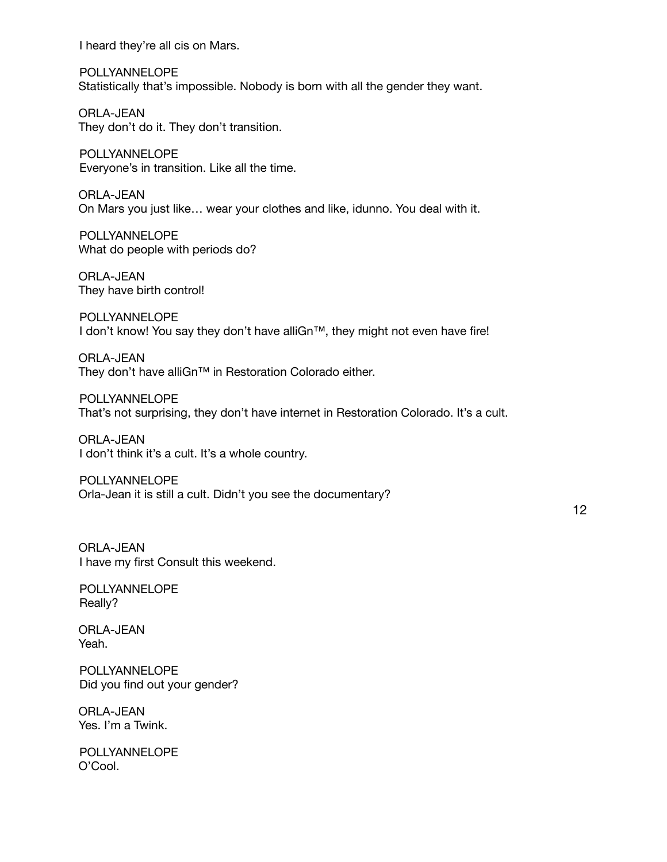I heard they're all cis on Mars.

POLLYANNELOPE Statistically that's impossible. Nobody is born with all the gender they want.

ORLA-JEAN They don't do it. They don't transition.

POLLYANNELOPE Everyone's in transition. Like all the time.

ORLA-JEAN On Mars you just like… wear your clothes and like, idunno. You deal with it.

POLLYANNELOPE What do people with periods do?

ORLA-JEAN They have birth control!

POLLYANNELOPE I don't know! You say they don't have alliGn™, they might not even have fire!

ORLA-JEAN They don't have alliGn™ in Restoration Colorado either.

POLLYANNELOPE That's not surprising, they don't have internet in Restoration Colorado. It's a cult.

ORLA-JEAN I don't think it's a cult. It's a whole country.

POLLYANNELOPE Orla-Jean it is still a cult. Didn't you see the documentary?

12

ORLA-JEAN I have my first Consult this weekend.

POLLYANNELOPE Really?

ORLA-JEAN Yeah.

POLLYANNELOPE Did you find out your gender?

ORLA-JEAN Yes. I'm a Twink.

POLLYANNELOPE O'Cool.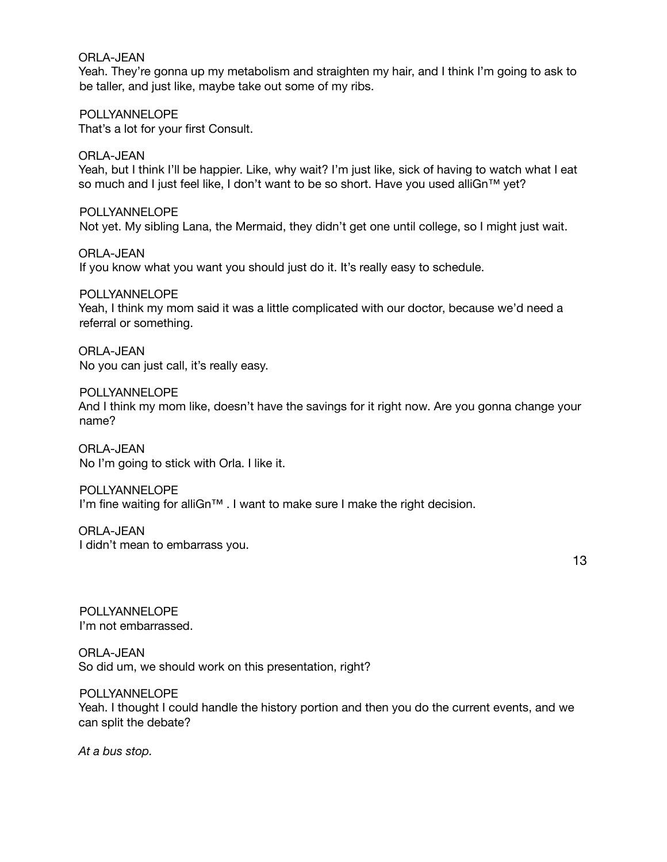ORLA-JEAN

Yeah. They're gonna up my metabolism and straighten my hair, and I think I'm going to ask to be taller, and just like, maybe take out some of my ribs.

POLLYANNELOPE That's a lot for your first Consult.

ORLA-JEAN Yeah, but I think I'll be happier. Like, why wait? I'm just like, sick of having to watch what I eat so much and I just feel like, I don't want to be so short. Have you used alliGn™ yet?

POLLYANNELOPE Not yet. My sibling Lana, the Mermaid, they didn't get one until college, so I might just wait.

ORLA-JEAN If you know what you want you should just do it. It's really easy to schedule.

POLLYANNELOPE Yeah, I think my mom said it was a little complicated with our doctor, because we'd need a referral or something.

ORLA-JEAN No you can just call, it's really easy.

POLLYANNELOPE And I think my mom like, doesn't have the savings for it right now. Are you gonna change your name?

ORLA-JEAN No I'm going to stick with Orla. I like it.

POLLYANNELOPE I'm fine waiting for alliGn™ . I want to make sure I make the right decision.

ORLA-JEAN I didn't mean to embarrass you.

13

POLLYANNELOPE I'm not embarrassed.

ORLA-JEAN So did um, we should work on this presentation, right?

POLLYANNELOPE Yeah. I thought I could handle the history portion and then you do the current events, and we can split the debate?

*At a bus stop.*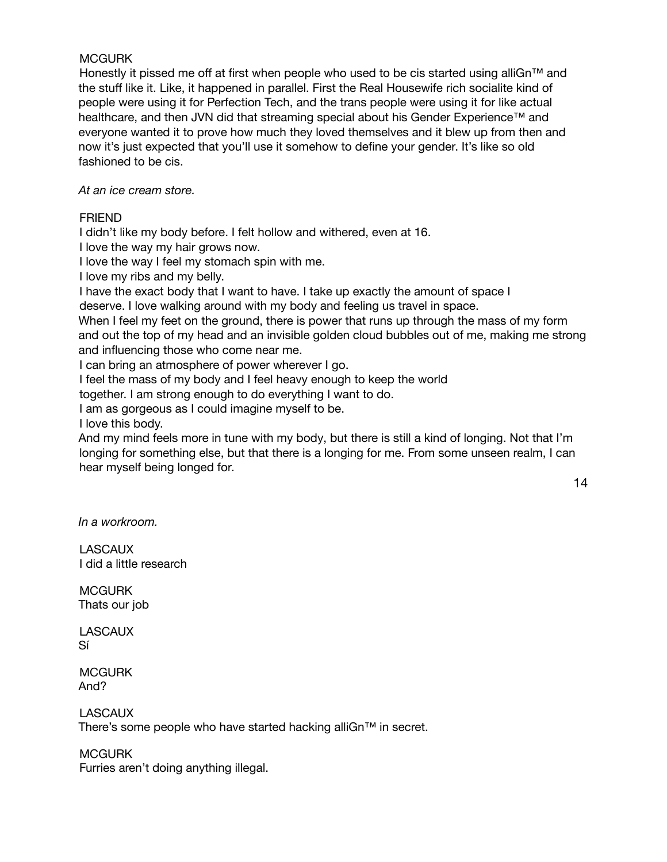## **MCGURK**

Honestly it pissed me off at first when people who used to be cis started using alliGn™ and the stuff like it. Like, it happened in parallel. First the Real Housewife rich socialite kind of people were using it for Perfection Tech, and the trans people were using it for like actual healthcare, and then JVN did that streaming special about his Gender Experience™ and everyone wanted it to prove how much they loved themselves and it blew up from then and now it's just expected that you'll use it somehow to define your gender. It's like so old fashioned to be cis.

*At an ice cream store.*

## FRIEND

I didn't like my body before. I felt hollow and withered, even at 16.

I love the way my hair grows now.

I love the way I feel my stomach spin with me.

I love my ribs and my belly.

I have the exact body that I want to have. I take up exactly the amount of space I

deserve. I love walking around with my body and feeling us travel in space.

When I feel my feet on the ground, there is power that runs up through the mass of my form and out the top of my head and an invisible golden cloud bubbles out of me, making me strong and influencing those who come near me.

I can bring an atmosphere of power wherever I go.

I feel the mass of my body and I feel heavy enough to keep the world

together. I am strong enough to do everything I want to do.

I am as gorgeous as I could imagine myself to be.

I love this body.

And my mind feels more in tune with my body, but there is still a kind of longing. Not that I'm longing for something else, but that there is a longing for me. From some unseen realm, I can hear myself being longed for.

14

*In a workroom.*

LASCAUX I did a little research

**MCGURK** Thats our job

**LASCAUX** Sí

**MCGURK** And?

**LASCAUX** There's some people who have started hacking alliGn™ in secret.

**MCGURK** 

Furries aren't doing anything illegal.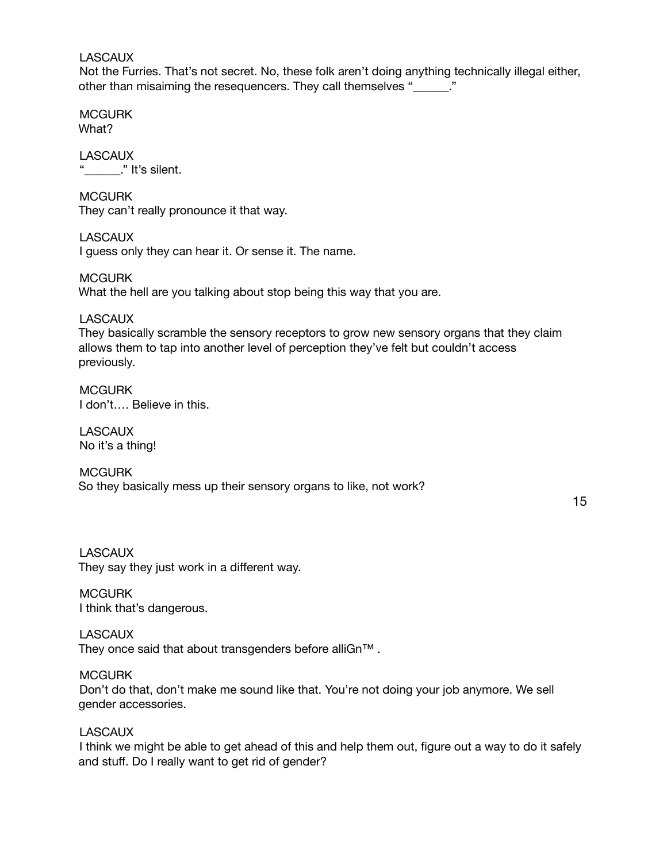#### **LASCAUX**

Not the Furries. That's not secret. No, these folk aren't doing anything technically illegal either, other than misaiming the resequencers. They call themselves "

**MCGURK** What?

**LASCAUX** "  $\blacksquare$ " It's silent.

**MCGURK** They can't really pronounce it that way.

**LASCAUX** I guess only they can hear it. Or sense it. The name.

**MCGURK** What the hell are you talking about stop being this way that you are.

LASCAUX They basically scramble the sensory receptors to grow new sensory organs that they claim allows them to tap into another level of perception they've felt but couldn't access previously.

**MCGURK** I don't…. Believe in this.

**LASCAUX** No it's a thing!

**MCGURK** So they basically mess up their sensory organs to like, not work?

15

**LASCAUX** They say they just work in a different way.

**MCGURK** I think that's dangerous.

**LASCAUX** They once said that about transgenders before alliGn™ .

**MCGURK** Don't do that, don't make me sound like that. You're not doing your job anymore. We sell gender accessories.

**LASCAUX** 

I think we might be able to get ahead of this and help them out, figure out a way to do it safely and stuff. Do I really want to get rid of gender?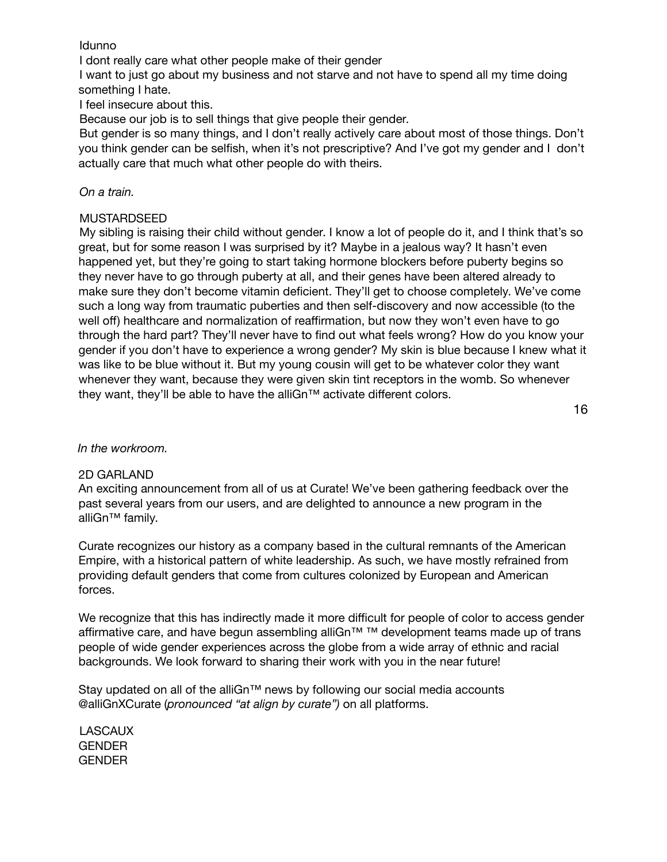## Idunno

I dont really care what other people make of their gender

I want to just go about my business and not starve and not have to spend all my time doing something I hate.

I feel insecure about this.

Because our job is to sell things that give people their gender.

But gender is so many things, and I don't really actively care about most of those things. Don't you think gender can be selfish, when it's not prescriptive? And I've got my gender and I don't actually care that much what other people do with theirs.

## *On a train.*

## MUSTARDSEED

My sibling is raising their child without gender. I know a lot of people do it, and I think that's so great, but for some reason I was surprised by it? Maybe in a jealous way? It hasn't even happened yet, but they're going to start taking hormone blockers before puberty begins so they never have to go through puberty at all, and their genes have been altered already to make sure they don't become vitamin deficient. They'll get to choose completely. We've come such a long way from traumatic puberties and then self-discovery and now accessible (to the well off) healthcare and normalization of reaffirmation, but now they won't even have to go through the hard part? They'll never have to find out what feels wrong? How do you know your gender if you don't have to experience a wrong gender? My skin is blue because I knew what it was like to be blue without it. But my young cousin will get to be whatever color they want whenever they want, because they were given skin tint receptors in the womb. So whenever they want, they'll be able to have the alliGn™ activate different colors.

16

## *In the workroom.*

## 2D GARLAND

An exciting announcement from all of us at Curate! We've been gathering feedback over the past several years from our users, and are delighted to announce a new program in the alliGn™ family.

Curate recognizes our history as a company based in the cultural remnants of the American Empire, with a historical pattern of white leadership. As such, we have mostly refrained from providing default genders that come from cultures colonized by European and American forces.

We recognize that this has indirectly made it more difficult for people of color to access gender affirmative care, and have begun assembling alliGn™ ™ development teams made up of trans people of wide gender experiences across the globe from a wide array of ethnic and racial backgrounds. We look forward to sharing their work with you in the near future!

Stay updated on all of the alliGn™ news by following our social media accounts @alliGnXCurate (*pronounced "at align by curate")* on all platforms.

LASCAUX GENDER GENDER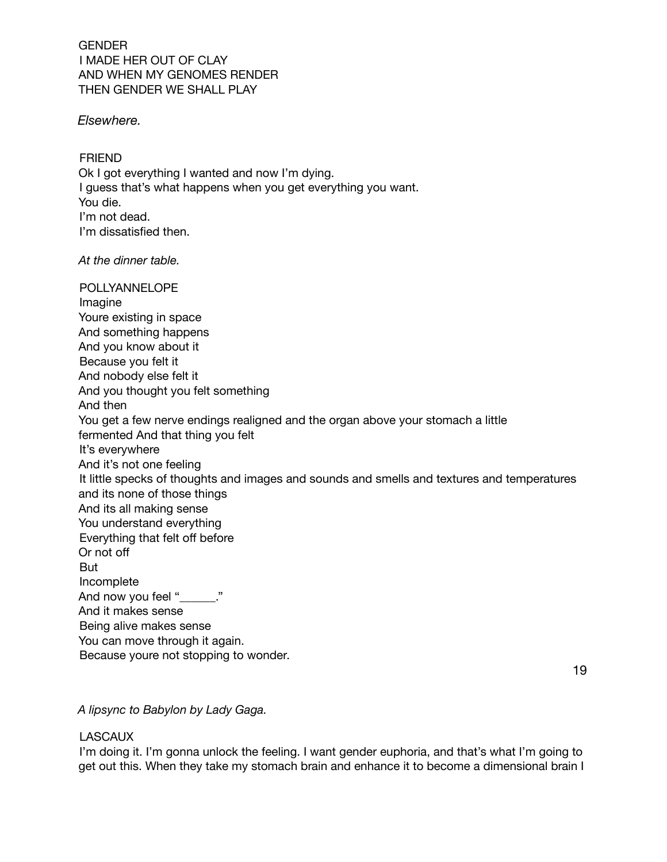GENDER I MADE HER OUT OF CLAY AND WHEN MY GENOMES RENDER THEN GENDER WE SHALL PLAY

*Elsewhere.*

FRIEND Ok I got everything I wanted and now I'm dying. I guess that's what happens when you get everything you want. You die. I'm not dead. I'm dissatisfied then.

*At the dinner table.*

POLLYANNELOPE Imagine Youre existing in space And something happens And you know about it Because you felt it And nobody else felt it And you thought you felt something And then You get a few nerve endings realigned and the organ above your stomach a little fermented And that thing you felt It's everywhere And it's not one feeling It little specks of thoughts and images and sounds and smells and textures and temperatures and its none of those things And its all making sense You understand everything Everything that felt off before Or not off But Incomplete And now you feel " \_\_\_\_." And it makes sense Being alive makes sense You can move through it again. Because youre not stopping to wonder.

19

*A lipsync to Babylon by Lady Gaga.*

## **LASCAUX**

I'm doing it. I'm gonna unlock the feeling. I want gender euphoria, and that's what I'm going to get out this. When they take my stomach brain and enhance it to become a dimensional brain I